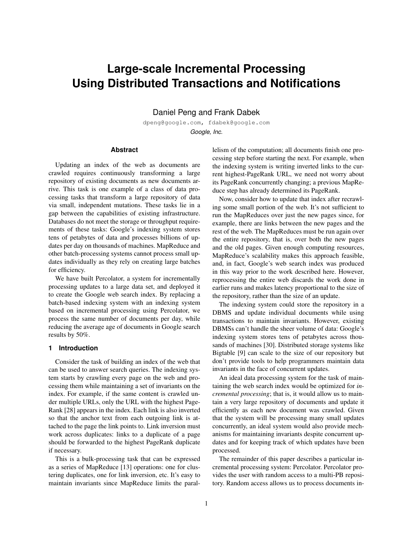# **Large-scale Incremental Processing Using Distributed Transactions and Notifications**

Daniel Peng and Frank Dabek

dpeng@google.com, fdabek@google.com *Google, Inc.*

# **Abstract**

Updating an index of the web as documents are crawled requires continuously transforming a large repository of existing documents as new documents arrive. This task is one example of a class of data processing tasks that transform a large repository of data via small, independent mutations. These tasks lie in a gap between the capabilities of existing infrastructure. Databases do not meet the storage or throughput requirements of these tasks: Google's indexing system stores tens of petabytes of data and processes billions of updates per day on thousands of machines. MapReduce and other batch-processing systems cannot process small updates individually as they rely on creating large batches for efficiency.

We have built Percolator, a system for incrementally processing updates to a large data set, and deployed it to create the Google web search index. By replacing a batch-based indexing system with an indexing system based on incremental processing using Percolator, we process the same number of documents per day, while reducing the average age of documents in Google search results by 50%.

# **1 Introduction**

Consider the task of building an index of the web that can be used to answer search queries. The indexing system starts by crawling every page on the web and processing them while maintaining a set of invariants on the index. For example, if the same content is crawled under multiple URLs, only the URL with the highest Page-Rank [28] appears in the index. Each link is also inverted so that the anchor text from each outgoing link is attached to the page the link points to. Link inversion must work across duplicates: links to a duplicate of a page should be forwarded to the highest PageRank duplicate if necessary.

This is a bulk-processing task that can be expressed as a series of MapReduce [13] operations: one for clustering duplicates, one for link inversion, etc. It's easy to maintain invariants since MapReduce limits the parallelism of the computation; all documents finish one processing step before starting the next. For example, when the indexing system is writing inverted links to the current highest-PageRank URL, we need not worry about its PageRank concurrently changing; a previous MapReduce step has already determined its PageRank.

Now, consider how to update that index after recrawling some small portion of the web. It's not sufficient to run the MapReduces over just the new pages since, for example, there are links between the new pages and the rest of the web. The MapReduces must be run again over the entire repository, that is, over both the new pages and the old pages. Given enough computing resources, MapReduce's scalability makes this approach feasible, and, in fact, Google's web search index was produced in this way prior to the work described here. However, reprocessing the entire web discards the work done in earlier runs and makes latency proportional to the size of the repository, rather than the size of an update.

The indexing system could store the repository in a DBMS and update individual documents while using transactions to maintain invariants. However, existing DBMSs can't handle the sheer volume of data: Google's indexing system stores tens of petabytes across thousands of machines [30]. Distributed storage systems like Bigtable [9] can scale to the size of our repository but don't provide tools to help programmers maintain data invariants in the face of concurrent updates.

An ideal data processing system for the task of maintaining the web search index would be optimized for *incremental processing*; that is, it would allow us to maintain a very large repository of documents and update it efficiently as each new document was crawled. Given that the system will be processing many small updates concurrently, an ideal system would also provide mechanisms for maintaining invariants despite concurrent updates and for keeping track of which updates have been processed.

The remainder of this paper describes a particular incremental processing system: Percolator. Percolator provides the user with random access to a multi-PB repository. Random access allows us to process documents in-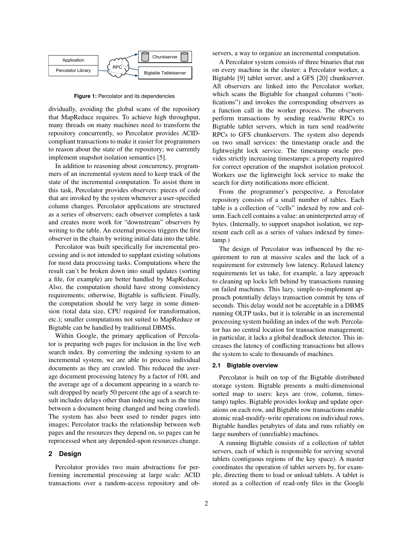

**Figure 1:** Percolator and its dependencies

dividually, avoiding the global scans of the repository that MapReduce requires. To achieve high throughput, many threads on many machines need to transform the repository concurrently, so Percolator provides ACIDcompliant transactions to make it easier for programmers to reason about the state of the repository; we currently implement snapshot isolation semantics [5].

In addition to reasoning about concurrency, programmers of an incremental system need to keep track of the state of the incremental computation. To assist them in this task, Percolator provides observers: pieces of code that are invoked by the system whenever a user-specified column changes. Percolator applications are structured as a series of observers; each observer completes a task and creates more work for "downstream" observers by writing to the table. An external process triggers the first observer in the chain by writing initial data into the table.

Percolator was built specifically for incremental processing and is not intended to supplant existing solutions for most data processing tasks. Computations where the result can't be broken down into small updates (sorting a file, for example) are better handled by MapReduce. Also, the computation should have strong consistency requirements; otherwise, Bigtable is sufficient. Finally, the computation should be very large in some dimension (total data size, CPU required for transformation, etc.); smaller computations not suited to MapReduce or Bigtable can be handled by traditional DBMSs.

Within Google, the primary application of Percolator is preparing web pages for inclusion in the live web search index. By converting the indexing system to an incremental system, we are able to process individual documents as they are crawled. This reduced the average document processing latency by a factor of 100, and the average age of a document appearing in a search result dropped by nearly 50 percent (the age of a search result includes delays other than indexing such as the time between a document being changed and being crawled). The system has also been used to render pages into images; Percolator tracks the relationship between web pages and the resources they depend on, so pages can be reprocessed when any depended-upon resources change.

# **2 Design**

Percolator provides two main abstractions for performing incremental processing at large scale: ACID transactions over a random-access repository and observers, a way to organize an incremental computation.

A Percolator system consists of three binaries that run on every machine in the cluster: a Percolator worker, a Bigtable [9] tablet server, and a GFS [20] chunkserver. All observers are linked into the Percolator worker, which scans the Bigtable for changed columns ("notifications") and invokes the corresponding observers as a function call in the worker process. The observers perform transactions by sending read/write RPCs to Bigtable tablet servers, which in turn send read/write RPCs to GFS chunkservers. The system also depends on two small services: the timestamp oracle and the lightweight lock service. The timestamp oracle provides strictly increasing timestamps: a property required for correct operation of the snapshot isolation protocol. Workers use the lightweight lock service to make the search for dirty notifications more efficient.

From the programmer's perspective, a Percolator repository consists of a small number of tables. Each table is a collection of "cells" indexed by row and column. Each cell contains a value: an uninterpreted array of bytes. (Internally, to support snapshot isolation, we represent each cell as a series of values indexed by timestamp.)

The design of Percolator was influenced by the requirement to run at massive scales and the lack of a requirement for extremely low latency. Relaxed latency requirements let us take, for example, a lazy approach to cleaning up locks left behind by transactions running on failed machines. This lazy, simple-to-implement approach potentially delays transaction commit by tens of seconds. This delay would not be acceptable in a DBMS running OLTP tasks, but it is tolerable in an incremental processing system building an index of the web. Percolator has no central location for transaction management; in particular, it lacks a global deadlock detector. This increases the latency of conflicting transactions but allows the system to scale to thousands of machines.

#### **2.1 Bigtable overview**

Percolator is built on top of the Bigtable distributed storage system. Bigtable presents a multi-dimensional sorted map to users: keys are (row, column, timestamp) tuples. Bigtable provides lookup and update operations on each row, and Bigtable row transactions enable atomic read-modify-write operations on individual rows. Bigtable handles petabytes of data and runs reliably on large numbers of (unreliable) machines.

A running Bigtable consists of a collection of tablet servers, each of which is responsible for serving several tablets (contiguous regions of the key space). A master coordinates the operation of tablet servers by, for example, directing them to load or unload tablets. A tablet is stored as a collection of read-only files in the Google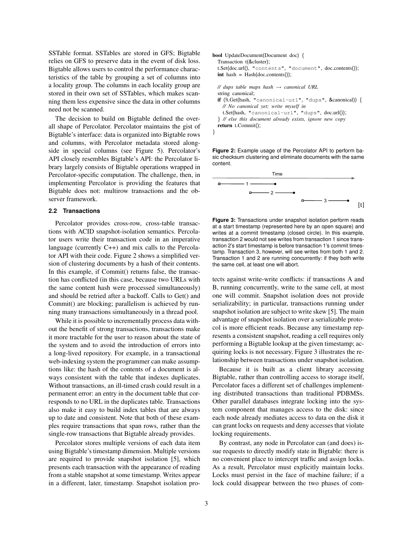SSTable format. SSTables are stored in GFS; Bigtable relies on GFS to preserve data in the event of disk loss. Bigtable allows users to control the performance characteristics of the table by grouping a set of columns into a locality group. The columns in each locality group are stored in their own set of SSTables, which makes scanning them less expensive since the data in other columns need not be scanned.

The decision to build on Bigtable defined the overall shape of Percolator. Percolator maintains the gist of Bigtable's interface: data is organized into Bigtable rows and columns, with Percolator metadata stored alongside in special columns (see Figure 5). Percolator's API closely resembles Bigtable's API: the Percolator library largely consists of Bigtable operations wrapped in Percolator-specific computation. The challenge, then, in implementing Percolator is providing the features that Bigtable does not: multirow transactions and the observer framework.

# **2.2 Transactions**

Percolator provides cross-row, cross-table transactions with ACID snapshot-isolation semantics. Percolator users write their transaction code in an imperative language (currently C++) and mix calls to the Percolator API with their code. Figure 2 shows a simplified version of clustering documents by a hash of their contents. In this example, if Commit() returns false, the transaction has conflicted (in this case, because two URLs with the same content hash were processed simultaneously) and should be retried after a backoff. Calls to Get() and Commit() are blocking; parallelism is achieved by running many transactions simultaneously in a thread pool.

While it is possible to incrementally process data without the benefit of strong transactions, transactions make it more tractable for the user to reason about the state of the system and to avoid the introduction of errors into a long-lived repository. For example, in a transactional web-indexing system the programmer can make assumptions like: the hash of the contents of a document is always consistent with the table that indexes duplicates. Without transactions, an ill-timed crash could result in a permanent error: an entry in the document table that corresponds to no URL in the duplicates table. Transactions also make it easy to build index tables that are always up to date and consistent. Note that both of these examples require transactions that span rows, rather than the single-row transactions that Bigtable already provides.

Percolator stores multiple versions of each data item using Bigtable's timestamp dimension. Multiple versions are required to provide snapshot isolation [5], which presents each transaction with the appearance of reading from a stable snapshot at some timestamp. Writes appear in a different, later, timestamp. Snapshot isolation pro-

| <b>bool</b> UpdateDocument(Document doc) {<br>Transaction t(&cluster);<br>t.Set(doc.url(), "contents", "document", doc.contents()); |
|-------------------------------------------------------------------------------------------------------------------------------------|
| $int$ hash = Hash(doc.contents());                                                                                                  |
| // dups table maps hash $\rightarrow$ canonical URL<br>string canonical;                                                            |
| if $(lt.Get(hash, "canonical-url", "dups", & canonical))$ {<br>// No canonical yet; write myself in                                 |
| $t. Set(hash, "canonical-url", "dups", doc.url());$                                                                                 |
| If <i>Il</i> else this document already exists, ignore new copy                                                                     |
| $return t. Commit()$ ;                                                                                                              |
|                                                                                                                                     |

**Figure 2:** Example usage of the Percolator API to perform basic checksum clustering and eliminate documents with the same content.



**Figure 3:** Transactions under snapshot isolation perform reads at a start timestamp (represented here by an open square) and writes at a commit timestamp (closed circle). In this example, transaction 2 would not see writes from transaction 1 since transaction 2's start timestamp is before transaction 1's commit timestamp. Transaction 3, however, will see writes from both 1 and 2. Transaction 1 and 2 are running concurrently: if they both write the same cell, at least one will abort.

tects against write-write conflicts: if transactions A and B, running concurrently, write to the same cell, at most one will commit. Snapshot isolation does not provide serializability; in particular, transactions running under snapshot isolation are subject to write skew [5]. The main advantage of snapshot isolation over a serializable protocol is more efficient reads. Because any timestamp represents a consistent snapshot, reading a cell requires only performing a Bigtable lookup at the given timestamp; acquiring locks is not necessary. Figure 3 illustrates the relationship between transactions under snapshot isolation.

Because it is built as a client library accessing Bigtable, rather than controlling access to storage itself, Percolator faces a different set of challenges implementing distributed transactions than traditional PDBMSs. Other parallel databases integrate locking into the system component that manages access to the disk: since each node already mediates access to data on the disk it can grant locks on requests and deny accesses that violate locking requirements.

By contrast, any node in Percolator can (and does) issue requests to directly modify state in Bigtable: there is no convenient place to intercept traffic and assign locks. As a result, Percolator must explicitly maintain locks. Locks must persist in the face of machine failure; if a lock could disappear between the two phases of com-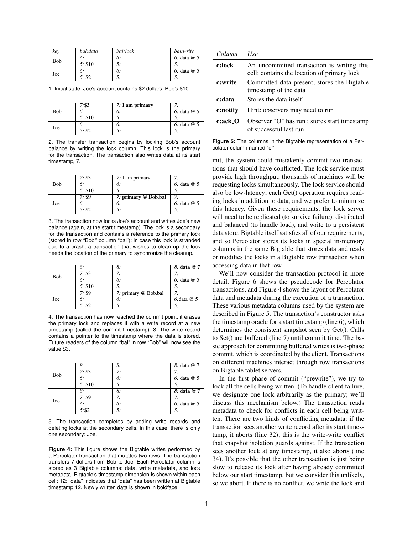| key | bal:data | bal:lock | bal:write     |
|-----|----------|----------|---------------|
| Bob | 6:       | 6:       | 6: data $@$ 5 |
|     | 5: \$10  | 5:       |               |
| Joe | 6:       | 6:       | 6: data $@$ 5 |
|     | 5: \$2   | 5:       |               |

1. Initial state: Joe's account contains \$2 dollars, Bob's \$10.

| Bob | 7: \$3  | $7: I$ am primary |              |
|-----|---------|-------------------|--------------|
|     | 6:      | 6:                | 6: data $@5$ |
|     | 5: \$10 | 5:                | 5:           |
| Joe | 6:      | 6:                | 6: data $@5$ |
|     | 5: \$2  | 5:                | 5:           |

2. The transfer transaction begins by locking Bob's account balance by writing the lock column. This lock is the primary for the transaction. The transaction also writes data at its start timestamp, 7.

| Bob | 7: \$3 $6:$      | 7: I am primary<br>6: | 7:<br>$6:$ data $@5$ |
|-----|------------------|-----------------------|----------------------|
|     | 5: \$10          | 5.                    | 5.                   |
| Joe | $\frac{7: }{6:}$ | 7: primary @ Bob.bal  | 7:                   |
|     |                  | 6:                    | $6:$ data $@5$       |
|     | 5: \$2           | 5:                    |                      |

3. The transaction now locks Joe's account and writes Joe's new balance (again, at the start timestamp). The lock is a secondary for the transaction and contains a reference to the primary lock (stored in row "Bob," column "bal"); in case this lock is stranded due to a crash, a transaction that wishes to clean up the lock needs the location of the primary to synchronize the cleanup.

| Bob | 8:      | 8:                   | 8: data @ 7     |
|-----|---------|----------------------|-----------------|
|     | 7: \$3  | 7:                   | 7:              |
|     | 6:      | 6:                   | 6: data @ 5     |
|     | 5: \$10 | 5:                   | 5:              |
| Joe | 7: \$9  | 7: primary @ Bob.bal | 7:              |
|     | 6:      | 6:                   | $6$ : data $@5$ |
|     | 5: \$2  | 5:                   |                 |

4. The transaction has now reached the commit point: it erases the primary lock and replaces it with a write record at a new timestamp (called the commit timestamp): 8. The write record contains a pointer to the timestamp where the data is stored. Future readers of the column "bal" in row "Bob" will now see the value \$3.

| Bob | 8:      | 8: | 8: data @ 7   |
|-----|---------|----|---------------|
|     | 7: \$3  | 7: | 7:            |
|     | 6:      | 6: | 6: data $@5$  |
|     | 5: \$10 | 5: | 5.            |
| Joe | 8:      | 8: | 8: data @ 7   |
|     | 7: \$9  | 7: | 7:            |
|     | 6:      | 6: | 6: data $@$ 5 |
|     | 5: \$2  | 5: | 5:            |

5. The transaction completes by adding write records and deleting locks at the secondary cells. In this case, there is only one secondary: Joe.

**Figure 4:** This figure shows the Bigtable writes performed by a Percolator transaction that mutates two rows. The transaction transfers 7 dollars from Bob to Joe. Each Percolator column is stored as 3 Bigtable columns: data, write metadata, and lock metadata. Bigtable's timestamp dimension is shown within each cell; 12: "data" indicates that "data" has been written at Bigtable timestamp 12. Newly written data is shown in boldface.

| Column   | $I$ se                                                                                    |
|----------|-------------------------------------------------------------------------------------------|
| c:lock   | An uncommitted transaction is writing this<br>cell; contains the location of primary lock |
| c:write  | Committed data present; stores the Bigtable<br>timestamp of the data                      |
| c:data   | Stores the data itself                                                                    |
| c:notify | Hint: observers may need to run                                                           |
| c:ack_O  | Observer "O" has run; stores start timestamp<br>of successful last run                    |

**Figure 5:** The columns in the Bigtable representation of a Percolator column named "c."

mit, the system could mistakenly commit two transactions that should have conflicted. The lock service must provide high throughput; thousands of machines will be requesting locks simultaneously. The lock service should also be low-latency; each Get() operation requires reading locks in addition to data, and we prefer to minimize this latency. Given these requirements, the lock server will need to be replicated (to survive failure), distributed and balanced (to handle load), and write to a persistent data store. Bigtable itself satisfies all of our requirements, and so Percolator stores its locks in special in-memory columns in the same Bigtable that stores data and reads or modifies the locks in a Bigtable row transaction when accessing data in that row.

We'll now consider the transaction protocol in more detail. Figure 6 shows the pseudocode for Percolator transactions, and Figure 4 shows the layout of Percolator data and metadata during the execution of a transaction. These various metadata columns used by the system are described in Figure 5. The transaction's constructor asks the timestamp oracle for a start timestamp (line 6), which determines the consistent snapshot seen by Get(). Calls to Set() are buffered (line 7) until commit time. The basic approach for committing buffered writes is two-phase commit, which is coordinated by the client. Transactions on different machines interact through row transactions on Bigtable tablet servers.

In the first phase of commit ("prewrite"), we try to lock all the cells being written. (To handle client failure, we designate one lock arbitrarily as the primary; we'll discuss this mechanism below.) The transaction reads metadata to check for conflicts in each cell being written. There are two kinds of conflicting metadata: if the transaction sees another write record after its start timestamp, it aborts (line 32); this is the write-write conflict that snapshot isolation guards against. If the transaction sees another lock at any timestamp, it also aborts (line 34). It's possible that the other transaction is just being slow to release its lock after having already committed below our start timestamp, but we consider this unlikely, so we abort. If there is no conflict, we write the lock and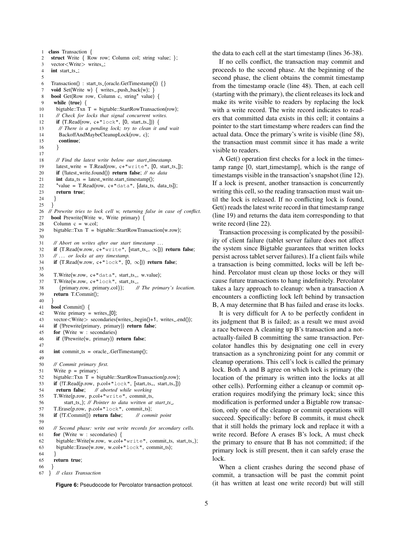```
1 class Transaction {
 2 struct Write { Row row; Column col; string value; };
 3 vector<Write> writes.;
 4 int start_ts_;
 5
 6 Transaction() : start_ts_(oracle.GetTimestamp()) \{\}7 void Set(Write w) { writes .push back(w); }
 8 bool Get(Row row, Column c, string* value) {
 9 while (true) {
10 bigtable::Txn T = bigtable::StartRowTransaction(row);
11 // Check for locks that signal concurrent writes.
12 if (T. Read(row, c+"lock", [0, start_ts_{...}])) {
13 // There is a pending lock; try to clean it and wait
14 BackoffAndMaybeCleanupLock(row, c);
15 continue;
16 }
17
18 // Find the latest write below our start timestamp.
19 latest_write = T.Read(row, c+"write", [0, start_ts]);
20 if (!latest write.found()) return false; // no data
21 int data ts = latest_write.start_timestamp();
22 *value = T.Read(row, c+"data", [data_ts, data_ts]);
23 return true;
24 }
25 }
26 // Prewrite tries to lock cell w, returning false in case of conflict.
27 bool Prewrite(Write w, Write primary) {
28 Column c = w.col;
29 bigtable::Txn T = bigtable::StartRowTransaction(w.row);
30
31 // Abort on writes after our start timestamp . . .
32 if (T.Read(w.row, c+"write", [start_ts_, \infty])) return false;
33 // . . . or locks at any timestamp.
34 if (T.Read(w.row, c+"lock", [0, \infty]) return false;
35
36 T.Write(w.row, c+"data", start_ts_, w.value);
37 T.Write(w.row, c+"lock", start_ts_,
38 {primary.row, primary.col}); // The primary's location.
39 return T.Commit();
40 }
41 bool Commit() {
42 Write primary = writes_[0];
43 vector<Write> secondaries(writes_.begin()+1, writes_.end());
44 if (!Prewrite(primary, primary)) return false;
45 for (Write w : secondaries)
46 if (!Prewrite(w, primary)) return false;
47
48 int commit_ts = oracle_.GetTimestamp();
49
50 // Commit primary first.
51 Write p = primary;
52 bigtable::Txn T = bigtable::StartRowTransaction(p.row);
53 if (!T.Read(p.row, p.col+"lock", [start_ts_, start_ts_]))
54 return false; // aborted while working
55 T.Write(p.row, p.col+"write", commit_ts,
56 start_ts_); // Pointer to data written at start_ts_
57 T.Erase(p.row, p.col+"lock", commit_ts);
58 if (!T.Commit()) return false; // commit point
59
60 // Second phase: write out write records for secondary cells.
61 for (Write w : secondaries) {
62 bigtable::Write(w.row, w.col+"write", commit_ts, start_ts_);
63 bigtable::Erase(w.row, w.col+"lock", commit_ts);
64 }
65 return true;
\begin{matrix} 66 \\ 67 \end{matrix} }
67 } // class Transaction
```
**Figure 6:** Pseudocode for Percolator transaction protocol.

the data to each cell at the start timestamp (lines 36-38).

If no cells conflict, the transaction may commit and proceeds to the second phase. At the beginning of the second phase, the client obtains the commit timestamp from the timestamp oracle (line 48). Then, at each cell (starting with the primary), the client releases its lock and make its write visible to readers by replacing the lock with a write record. The write record indicates to readers that committed data exists in this cell; it contains a pointer to the start timestamp where readers can find the actual data. Once the primary's write is visible (line 58), the transaction must commit since it has made a write visible to readers.

A Get() operation first checks for a lock in the timestamp range [0, start\_timestamp], which is the range of timestamps visible in the transaction's snapshot (line 12). If a lock is present, another transaction is concurrently writing this cell, so the reading transaction must wait until the lock is released. If no conflicting lock is found, Get() reads the latest write record in that timestamp range (line 19) and returns the data item corresponding to that write record (line 22).

Transaction processing is complicated by the possibility of client failure (tablet server failure does not affect the system since Bigtable guarantees that written locks persist across tablet server failures). If a client fails while a transaction is being committed, locks will be left behind. Percolator must clean up those locks or they will cause future transactions to hang indefinitely. Percolator takes a lazy approach to cleanup: when a transaction A encounters a conflicting lock left behind by transaction B, A may determine that B has failed and erase its locks.

It is very difficult for A to be perfectly confident in its judgment that B is failed; as a result we must avoid a race between A cleaning up B's transaction and a notactually-failed B committing the same transaction. Percolator handles this by designating one cell in every transaction as a synchronizing point for any commit or cleanup operations. This cell's lock is called the primary lock. Both A and B agree on which lock is primary (the location of the primary is written into the locks at all other cells). Performing either a cleanup or commit operation requires modifying the primary lock; since this modification is performed under a Bigtable row transaction, only one of the cleanup or commit operations will succeed. Specifically: before B commits, it must check that it still holds the primary lock and replace it with a write record. Before A erases B's lock, A must check the primary to ensure that B has not committed; if the primary lock is still present, then it can safely erase the lock.

When a client crashes during the second phase of commit, a transaction will be past the commit point (it has written at least one write record) but will still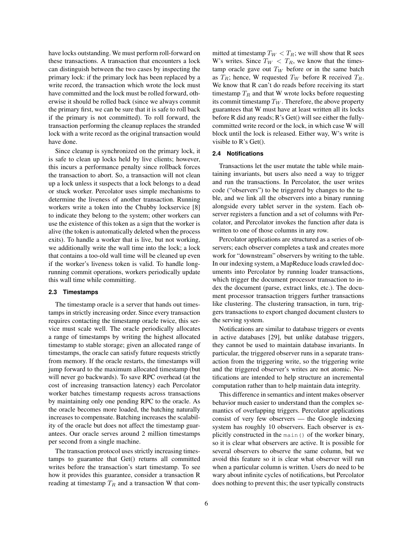have locks outstanding. We must perform roll-forward on these transactions. A transaction that encounters a lock can distinguish between the two cases by inspecting the primary lock: if the primary lock has been replaced by a write record, the transaction which wrote the lock must have committed and the lock must be rolled forward, otherwise it should be rolled back (since we always commit the primary first, we can be sure that it is safe to roll back if the primary is not committed). To roll forward, the transaction performing the cleanup replaces the stranded lock with a write record as the original transaction would have done.

Since cleanup is synchronized on the primary lock, it is safe to clean up locks held by live clients; however, this incurs a performance penalty since rollback forces the transaction to abort. So, a transaction will not clean up a lock unless it suspects that a lock belongs to a dead or stuck worker. Percolator uses simple mechanisms to determine the liveness of another transaction. Running workers write a token into the Chubby lockservice [8] to indicate they belong to the system; other workers can use the existence of this token as a sign that the worker is alive (the token is automatically deleted when the process exits). To handle a worker that is live, but not working, we additionally write the wall time into the lock; a lock that contains a too-old wall time will be cleaned up even if the worker's liveness token is valid. To handle longrunning commit operations, workers periodically update this wall time while committing.

## **2.3 Timestamps**

The timestamp oracle is a server that hands out timestamps in strictly increasing order. Since every transaction requires contacting the timestamp oracle twice, this service must scale well. The oracle periodically allocates a range of timestamps by writing the highest allocated timestamp to stable storage; given an allocated range of timestamps, the oracle can satisfy future requests strictly from memory. If the oracle restarts, the timestamps will jump forward to the maximum allocated timestamp (but will never go backwards). To save RPC overhead (at the cost of increasing transaction latency) each Percolator worker batches timestamp requests across transactions by maintaining only one pending RPC to the oracle. As the oracle becomes more loaded, the batching naturally increases to compensate. Batching increases the scalability of the oracle but does not affect the timestamp guarantees. Our oracle serves around 2 million timestamps per second from a single machine.

The transaction protocol uses strictly increasing timestamps to guarantee that Get() returns all committed writes before the transaction's start timestamp. To see how it provides this guarantee, consider a transaction R reading at timestamp  $T_R$  and a transaction W that committed at timestamp  $T_W < T_R$ ; we will show that R sees W's writes. Since  $T_W < T_R$ , we know that the timestamp oracle gave out  $T_W$  before or in the same batch as  $T_R$ ; hence, W requested  $T_W$  before R received  $T_R$ . We know that R can't do reads before receiving its start timestamp  $T_R$  and that W wrote locks before requesting its commit timestamp  $T_W$ . Therefore, the above property guarantees that W must have at least written all its locks before R did any reads; R's Get() will see either the fullycommitted write record or the lock, in which case W will block until the lock is released. Either way, W's write is visible to  $R$ 's Get().

#### **2.4 Notifications**

Transactions let the user mutate the table while maintaining invariants, but users also need a way to trigger and run the transactions. In Percolator, the user writes code ("observers") to be triggered by changes to the table, and we link all the observers into a binary running alongside every tablet server in the system. Each observer registers a function and a set of columns with Percolator, and Percolator invokes the function after data is written to one of those columns in any row.

Percolator applications are structured as a series of observers; each observer completes a task and creates more work for "downstream" observers by writing to the table. In our indexing system, a MapReduce loads crawled documents into Percolator by running loader transactions, which trigger the document processor transaction to index the document (parse, extract links, etc.). The document processor transaction triggers further transactions like clustering. The clustering transaction, in turn, triggers transactions to export changed document clusters to the serving system.

Notifications are similar to database triggers or events in active databases [29], but unlike database triggers, they cannot be used to maintain database invariants. In particular, the triggered observer runs in a separate transaction from the triggering write, so the triggering write and the triggered observer's writes are not atomic. Notifications are intended to help structure an incremental computation rather than to help maintain data integrity.

This difference in semantics and intent makes observer behavior much easier to understand than the complex semantics of overlapping triggers. Percolator applications consist of very few observers — the Google indexing system has roughly 10 observers. Each observer is explicitly constructed in the main() of the worker binary, so it is clear what observers are active. It is possible for several observers to observe the same column, but we avoid this feature so it is clear what observer will run when a particular column is written. Users do need to be wary about infinite cycles of notifications, but Percolator does nothing to prevent this; the user typically constructs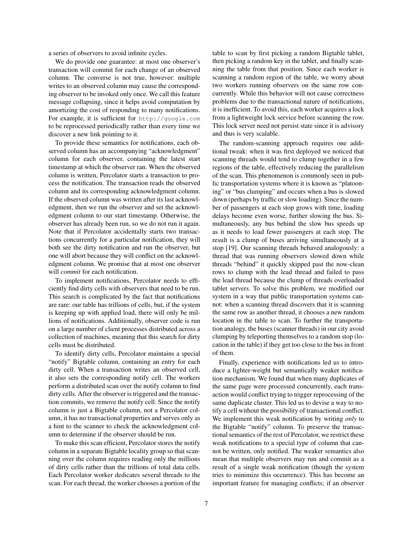a series of observers to avoid infinite cycles.

We do provide one guarantee: at most one observer's transaction will commit for each change of an observed column. The converse is not true, however: multiple writes to an observed column may cause the corresponding observer to be invoked only once. We call this feature message collapsing, since it helps avoid computation by amortizing the cost of responding to many notifications. For example, it is sufficient for http://google.com to be reprocessed periodically rather than every time we discover a new link pointing to it.

To provide these semantics for notifications, each observed column has an accompanying "acknowledgment" column for each observer, containing the latest start timestamp at which the observer ran. When the observed column is written, Percolator starts a transaction to process the notification. The transaction reads the observed column and its corresponding acknowledgment column. If the observed column was written after its last acknowledgment, then we run the observer and set the acknowledgment column to our start timestamp. Otherwise, the observer has already been run, so we do not run it again. Note that if Percolator accidentally starts two transactions concurrently for a particular notification, they will both see the dirty notification and run the observer, but one will abort because they will conflict on the acknowledgment column. We promise that at most one observer will *commit* for each notification.

To implement notifications, Percolator needs to efficiently find dirty cells with observers that need to be run. This search is complicated by the fact that notifications are rare: our table has trillions of cells, but, if the system is keeping up with applied load, there will only be millions of notifications. Additionally, observer code is run on a large number of client processes distributed across a collection of machines, meaning that this search for dirty cells must be distributed.

To identify dirty cells, Percolator maintains a special "notify" Bigtable column, containing an entry for each dirty cell. When a transaction writes an observed cell, it also sets the corresponding notify cell. The workers perform a distributed scan over the notify column to find dirty cells. After the observer is triggered and the transaction commits, we remove the notify cell. Since the notify column is just a Bigtable column, not a Percolator column, it has no transactional properties and serves only as a hint to the scanner to check the acknowledgment column to determine if the observer should be run.

To make this scan efficient, Percolator stores the notify column in a separate Bigtable locality group so that scanning over the column requires reading only the millions of dirty cells rather than the trillions of total data cells. Each Percolator worker dedicates several threads to the scan. For each thread, the worker chooses a portion of the table to scan by first picking a random Bigtable tablet, then picking a random key in the tablet, and finally scanning the table from that position. Since each worker is scanning a random region of the table, we worry about two workers running observers on the same row concurrently. While this behavior will not cause correctness problems due to the transactional nature of notifications, it is inefficient. To avoid this, each worker acquires a lock from a lightweight lock service before scanning the row. This lock server need not persist state since it is advisory and thus is very scalable.

The random-scanning approach requires one additional tweak: when it was first deployed we noticed that scanning threads would tend to clump together in a few regions of the table, effectively reducing the parallelism of the scan. This phenomenon is commonly seen in public transportation systems where it is known as "platooning" or "bus clumping" and occurs when a bus is slowed down (perhaps by traffic or slow loading). Since the number of passengers at each stop grows with time, loading delays become even worse, further slowing the bus. Simultaneously, any bus behind the slow bus speeds up as it needs to load fewer passengers at each stop. The result is a clump of buses arriving simultaneously at a stop [19]. Our scanning threads behaved analogously: a thread that was running observers slowed down while threads "behind" it quickly skipped past the now-clean rows to clump with the lead thread and failed to pass the lead thread because the clump of threads overloaded tablet servers. To solve this problem, we modified our system in a way that public transportation systems cannot: when a scanning thread discovers that it is scanning the same row as another thread, it chooses a new random location in the table to scan. To further the transportation analogy, the buses (scanner threads) in our city avoid clumping by teleporting themselves to a random stop (location in the table) if they get too close to the bus in front of them.

Finally, experience with notifications led us to introduce a lighter-weight but semantically weaker notification mechanism. We found that when many duplicates of the same page were processed concurrently, each transaction would conflict trying to trigger reprocessing of the same duplicate cluster. This led us to devise a way to notify a cell without the possibility of transactional conflict. We implement this weak notification by writing *only* to the Bigtable "notify" column. To preserve the transactional semantics of the rest of Percolator, we restrict these weak notifications to a special type of column that cannot be written, only notified. The weaker semantics also mean that multiple observers may run and commit as a result of a single weak notification (though the system tries to minimize this occurrence). This has become an important feature for managing conflicts; if an observer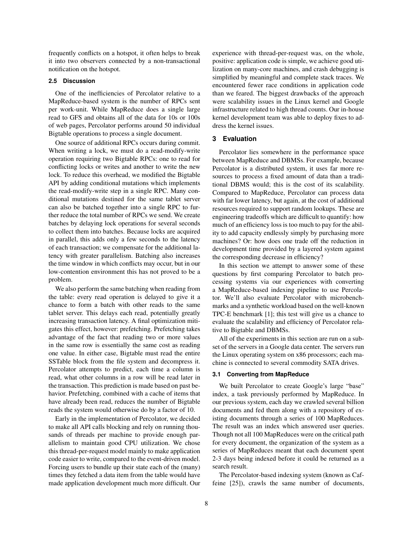frequently conflicts on a hotspot, it often helps to break it into two observers connected by a non-transactional notification on the hotspot.

## **2.5 Discussion**

One of the inefficiencies of Percolator relative to a MapReduce-based system is the number of RPCs sent per work-unit. While MapReduce does a single large read to GFS and obtains all of the data for 10s or 100s of web pages, Percolator performs around 50 individual Bigtable operations to process a single document.

One source of additional RPCs occurs during commit. When writing a lock, we must do a read-modify-write operation requiring two Bigtable RPCs: one to read for conflicting locks or writes and another to write the new lock. To reduce this overhead, we modified the Bigtable API by adding conditional mutations which implements the read-modify-write step in a single RPC. Many conditional mutations destined for the same tablet server can also be batched together into a single RPC to further reduce the total number of RPCs we send. We create batches by delaying lock operations for several seconds to collect them into batches. Because locks are acquired in parallel, this adds only a few seconds to the latency of each transaction; we compensate for the additional latency with greater parallelism. Batching also increases the time window in which conflicts may occur, but in our low-contention environment this has not proved to be a problem.

We also perform the same batching when reading from the table: every read operation is delayed to give it a chance to form a batch with other reads to the same tablet server. This delays each read, potentially greatly increasing transaction latency. A final optimization mitigates this effect, however: prefetching. Prefetching takes advantage of the fact that reading two or more values in the same row is essentially the same cost as reading one value. In either case, Bigtable must read the entire SSTable block from the file system and decompress it. Percolator attempts to predict, each time a column is read, what other columns in a row will be read later in the transaction. This prediction is made based on past behavior. Prefetching, combined with a cache of items that have already been read, reduces the number of Bigtable reads the system would otherwise do by a factor of 10.

Early in the implementation of Percolator, we decided to make all API calls blocking and rely on running thousands of threads per machine to provide enough parallelism to maintain good CPU utilization. We chose this thread-per-request model mainly to make application code easier to write, compared to the event-driven model. Forcing users to bundle up their state each of the (many) times they fetched a data item from the table would have made application development much more difficult. Our experience with thread-per-request was, on the whole, positive: application code is simple, we achieve good utilization on many-core machines, and crash debugging is simplified by meaningful and complete stack traces. We encountered fewer race conditions in application code than we feared. The biggest drawbacks of the approach were scalability issues in the Linux kernel and Google infrastructure related to high thread counts. Our in-house kernel development team was able to deploy fixes to address the kernel issues.

#### **3 Evaluation**

Percolator lies somewhere in the performance space between MapReduce and DBMSs. For example, because Percolator is a distributed system, it uses far more resources to process a fixed amount of data than a traditional DBMS would; this is the cost of its scalability. Compared to MapReduce, Percolator can process data with far lower latency, but again, at the cost of additional resources required to support random lookups. These are engineering tradeoffs which are difficult to quantify: how much of an efficiency loss is too much to pay for the ability to add capacity endlessly simply by purchasing more machines? Or: how does one trade off the reduction in development time provided by a layered system against the corresponding decrease in efficiency?

In this section we attempt to answer some of these questions by first comparing Percolator to batch processing systems via our experiences with converting a MapReduce-based indexing pipeline to use Percolator. We'll also evaluate Percolator with microbenchmarks and a synthetic workload based on the well-known TPC-E benchmark [1]; this test will give us a chance to evaluate the scalability and efficiency of Percolator relative to Bigtable and DBMSs.

All of the experiments in this section are run on a subset of the servers in a Google data center. The servers run the Linux operating system on x86 processors; each machine is connected to several commodity SATA drives.

#### **3.1 Converting from MapReduce**

We built Percolator to create Google's large "base" index, a task previously performed by MapReduce. In our previous system, each day we crawled several billion documents and fed them along with a repository of existing documents through a series of 100 MapReduces. The result was an index which answered user queries. Though not all 100 MapReduces were on the critical path for every document, the organization of the system as a series of MapReduces meant that each document spent 2-3 days being indexed before it could be returned as a search result.

The Percolator-based indexing system (known as Caffeine [25]), crawls the same number of documents,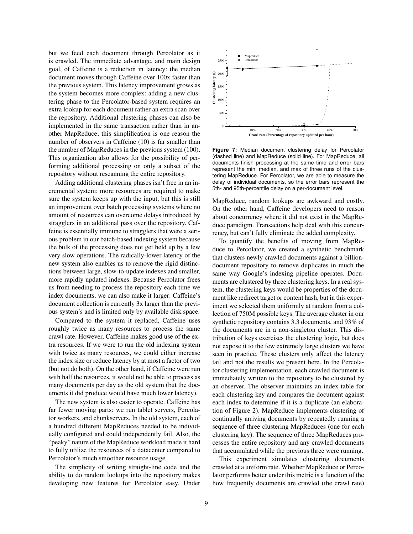but we feed each document through Percolator as it is crawled. The immediate advantage, and main design goal, of Caffeine is a reduction in latency: the median document moves through Caffeine over 100x faster than the previous system. This latency improvement grows as the system becomes more complex: adding a new clustering phase to the Percolator-based system requires an extra lookup for each document rather an extra scan over the repository. Additional clustering phases can also be implemented in the same transaction rather than in another MapReduce; this simplification is one reason the number of observers in Caffeine (10) is far smaller than the number of MapReduces in the previous system (100). This organization also allows for the possibility of performing additional processing on only a subset of the repository without rescanning the entire repository.

Adding additional clustering phases isn't free in an incremental system: more resources are required to make sure the system keeps up with the input, but this is still an improvement over batch processing systems where no amount of resources can overcome delays introduced by stragglers in an additional pass over the repository. Caffeine is essentially immune to stragglers that were a serious problem in our batch-based indexing system because the bulk of the processing does not get held up by a few very slow operations. The radically-lower latency of the new system also enables us to remove the rigid distinctions between large, slow-to-update indexes and smaller, more rapidly updated indexes. Because Percolator frees us from needing to process the repository each time we index documents, we can also make it larger: Caffeine's document collection is currently 3x larger than the previous system's and is limited only by available disk space.

Compared to the system it replaced, Caffeine uses roughly twice as many resources to process the same crawl rate. However, Caffeine makes good use of the extra resources. If we were to run the old indexing system with twice as many resources, we could either increase the index size or reduce latency by at most a factor of two (but not do both). On the other hand, if Caffeine were run with half the resources, it would not be able to process as many documents per day as the old system (but the documents it did produce would have much lower latency).

The new system is also easier to operate. Caffeine has far fewer moving parts: we run tablet servers, Percolator workers, and chunkservers. In the old system, each of a hundred different MapReduces needed to be individually configured and could independently fail. Also, the "peaky" nature of the MapReduce workload made it hard to fully utilize the resources of a datacenter compared to Percolator's much smoother resource usage.

The simplicity of writing straight-line code and the ability to do random lookups into the repository makes developing new features for Percolator easy. Under



**Figure 7:** Median document clustering delay for Percolator (dashed line) and MapReduce (solid line). For MapReduce, all documents finish processing at the same time and error bars represent the min, median, and max of three runs of the clustering MapReduce. For Percolator, we are able to measure the delay of individual documents, so the error bars represent the 5th- and 95th-percentile delay on a per-document level.

MapReduce, random lookups are awkward and costly. On the other hand, Caffeine developers need to reason about concurrency where it did not exist in the MapReduce paradigm. Transactions help deal with this concurrency, but can't fully eliminate the added complexity.

To quantify the benefits of moving from MapReduce to Percolator, we created a synthetic benchmark that clusters newly crawled documents against a billiondocument repository to remove duplicates in much the same way Google's indexing pipeline operates. Documents are clustered by three clustering keys. In a real system, the clustering keys would be properties of the document like redirect target or content hash, but in this experiment we selected them uniformly at random from a collection of 750M possible keys. The average cluster in our synthetic repository contains 3.3 documents, and 93% of the documents are in a non-singleton cluster. This distribution of keys exercises the clustering logic, but does not expose it to the few extremely large clusters we have seen in practice. These clusters only affect the latency tail and not the results we present here. In the Percolator clustering implementation, each crawled document is immediately written to the repository to be clustered by an observer. The observer maintains an index table for each clustering key and compares the document against each index to determine if it is a duplicate (an elaboration of Figure 2). MapReduce implements clustering of continually arriving documents by repeatedly running a sequence of three clustering MapReduces (one for each clustering key). The sequence of three MapReduces processes the entire repository and any crawled documents that accumulated while the previous three were running.

This experiment simulates clustering documents crawled at a uniform rate. Whether MapReduce or Percolator performs better under this metric is a function of the how frequently documents are crawled (the crawl rate)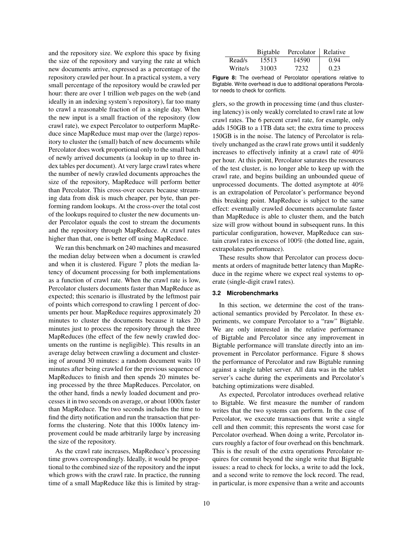and the repository size. We explore this space by fixing the size of the repository and varying the rate at which new documents arrive, expressed as a percentage of the repository crawled per hour. In a practical system, a very small percentage of the repository would be crawled per hour: there are over 1 trillion web pages on the web (and ideally in an indexing system's repository), far too many to crawl a reasonable fraction of in a single day. When the new input is a small fraction of the repository (low crawl rate), we expect Percolator to outperform MapReduce since MapReduce must map over the (large) repository to cluster the (small) batch of new documents while Percolator does work proportional only to the small batch of newly arrived documents (a lookup in up to three index tables per document). At very large crawl rates where the number of newly crawled documents approaches the size of the repository, MapReduce will perform better than Percolator. This cross-over occurs because streaming data from disk is much cheaper, per byte, than performing random lookups. At the cross-over the total cost of the lookups required to cluster the new documents under Percolator equals the cost to stream the documents and the repository through MapReduce. At crawl rates higher than that, one is better off using MapReduce.

We ran this benchmark on 240 machines and measured the median delay between when a document is crawled and when it is clustered. Figure 7 plots the median latency of document processing for both implementations as a function of crawl rate. When the crawl rate is low, Percolator clusters documents faster than MapReduce as expected; this scenario is illustrated by the leftmost pair of points which correspond to crawling 1 percent of documents per hour. MapReduce requires approximately 20 minutes to cluster the documents because it takes 20 minutes just to process the repository through the three MapReduces (the effect of the few newly crawled documents on the runtime is negligible). This results in an average delay between crawling a document and clustering of around 30 minutes: a random document waits 10 minutes after being crawled for the previous sequence of MapReduces to finish and then spends 20 minutes being processed by the three MapReduces. Percolator, on the other hand, finds a newly loaded document and processes it in two seconds on average, or about 1000x faster than MapReduce. The two seconds includes the time to find the dirty notification and run the transaction that performs the clustering. Note that this 1000x latency improvement could be made arbitrarily large by increasing the size of the repository.

As the crawl rate increases, MapReduce's processing time grows correspondingly. Ideally, it would be proportional to the combined size of the repository and the input which grows with the crawl rate. In practice, the running time of a small MapReduce like this is limited by strag-

|         | Bigtable | Percolator   Relative |      |
|---------|----------|-----------------------|------|
| Read/s  | 15513    | 14590                 | 0.94 |
| Write/s | 31003    | 7232                  | 0.23 |

**Figure 8:** The overhead of Percolator operations relative to Bigtable. Write overhead is due to additional operations Percolator needs to check for conflicts.

glers, so the growth in processing time (and thus clustering latency) is only weakly correlated to crawl rate at low crawl rates. The 6 percent crawl rate, for example, only adds 150GB to a 1TB data set; the extra time to process 150GB is in the noise. The latency of Percolator is relatively unchanged as the crawl rate grows until it suddenly increases to effectively infinity at a crawl rate of 40% per hour. At this point, Percolator saturates the resources of the test cluster, is no longer able to keep up with the crawl rate, and begins building an unbounded queue of unprocessed documents. The dotted asymptote at 40% is an extrapolation of Percolator's performance beyond this breaking point. MapReduce is subject to the same effect: eventually crawled documents accumulate faster than MapReduce is able to cluster them, and the batch size will grow without bound in subsequent runs. In this particular configuration, however, MapReduce can sustain crawl rates in excess of 100% (the dotted line, again, extrapolates performance).

These results show that Percolator can process documents at orders of magnitude better latency than MapReduce in the regime where we expect real systems to operate (single-digit crawl rates).

## **3.2 Microbenchmarks**

In this section, we determine the cost of the transactional semantics provided by Percolator. In these experiments, we compare Percolator to a "raw" Bigtable. We are only interested in the relative performance of Bigtable and Percolator since any improvement in Bigtable performance will translate directly into an improvement in Percolator performance. Figure 8 shows the performance of Percolator and raw Bigtable running against a single tablet server. All data was in the tablet server's cache during the experiments and Percolator's batching optimizations were disabled.

As expected, Percolator introduces overhead relative to Bigtable. We first measure the number of random writes that the two systems can perform. In the case of Percolator, we execute transactions that write a single cell and then commit; this represents the worst case for Percolator overhead. When doing a write, Percolator incurs roughly a factor of four overhead on this benchmark. This is the result of the extra operations Percolator requires for commit beyond the single write that Bigtable issues: a read to check for locks, a write to add the lock, and a second write to remove the lock record. The read, in particular, is more expensive than a write and accounts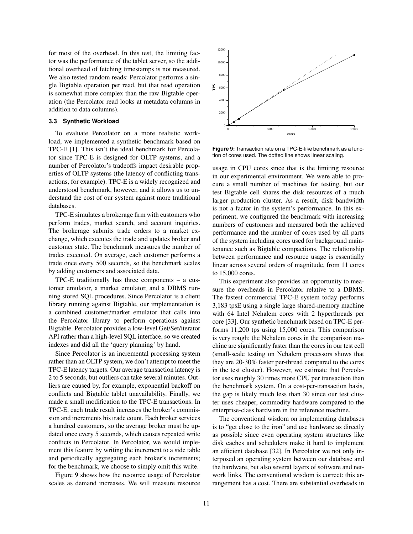for most of the overhead. In this test, the limiting factor was the performance of the tablet server, so the additional overhead of fetching timestamps is not measured. We also tested random reads: Percolator performs a single Bigtable operation per read, but that read operation is somewhat more complex than the raw Bigtable operation (the Percolator read looks at metadata columns in addition to data columns).

## **3.3 Synthetic Workload**

To evaluate Percolator on a more realistic workload, we implemented a synthetic benchmark based on TPC-E [1]. This isn't the ideal benchmark for Percolator since TPC-E is designed for OLTP systems, and a number of Percolator's tradeoffs impact desirable properties of OLTP systems (the latency of conflicting transactions, for example). TPC-E is a widely recognized and understood benchmark, however, and it allows us to understand the cost of our system against more traditional databases.

TPC-E simulates a brokerage firm with customers who perform trades, market search, and account inquiries. The brokerage submits trade orders to a market exchange, which executes the trade and updates broker and customer state. The benchmark measures the number of trades executed. On average, each customer performs a trade once every 500 seconds, so the benchmark scales by adding customers and associated data.

TPC-E traditionally has three components – a customer emulator, a market emulator, and a DBMS running stored SQL procedures. Since Percolator is a client library running against Bigtable, our implementation is a combined customer/market emulator that calls into the Percolator library to perform operations against Bigtable. Percolator provides a low-level Get/Set/iterator API rather than a high-level SQL interface, so we created indexes and did all the 'query planning' by hand.

Since Percolator is an incremental processing system rather than an OLTP system, we don't attempt to meet the TPC-E latency targets. Our average transaction latency is 2 to 5 seconds, but outliers can take several minutes. Outliers are caused by, for example, exponential backoff on conflicts and Bigtable tablet unavailability. Finally, we made a small modification to the TPC-E transactions. In TPC-E, each trade result increases the broker's commission and increments his trade count. Each broker services a hundred customers, so the average broker must be updated once every 5 seconds, which causes repeated write conflicts in Percolator. In Percolator, we would implement this feature by writing the increment to a side table and periodically aggregating each broker's increments; for the benchmark, we choose to simply omit this write.

Figure 9 shows how the resource usage of Percolator scales as demand increases. We will measure resource



**Figure 9:** Transaction rate on a TPC-E-like benchmark as a function of cores used. The dotted line shows linear scaling.

usage in CPU cores since that is the limiting resource in our experimental environment. We were able to procure a small number of machines for testing, but our test Bigtable cell shares the disk resources of a much larger production cluster. As a result, disk bandwidth is not a factor in the system's performance. In this experiment, we configured the benchmark with increasing numbers of customers and measured both the achieved performance and the number of cores used by all parts of the system including cores used for background maintenance such as Bigtable compactions. The relationship between performance and resource usage is essentially linear across several orders of magnitude, from 11 cores to 15,000 cores.

This experiment also provides an opportunity to measure the overheads in Percolator relative to a DBMS. The fastest commercial TPC-E system today performs 3,183 tpsE using a single large shared-memory machine with 64 Intel Nehalem cores with 2 hyperthreads per core [33]. Our synthetic benchmark based on TPC-E performs 11,200 tps using 15,000 cores. This comparison is very rough: the Nehalem cores in the comparison machine are significantly faster than the cores in our test cell (small-scale testing on Nehalem processors shows that they are 20-30% faster per-thread compared to the cores in the test cluster). However, we estimate that Percolator uses roughly 30 times more CPU per transaction than the benchmark system. On a cost-per-transaction basis, the gap is likely much less than 30 since our test cluster uses cheaper, commodity hardware compared to the enterprise-class hardware in the reference machine.

The conventional wisdom on implementing databases is to "get close to the iron" and use hardware as directly as possible since even operating system structures like disk caches and schedulers make it hard to implement an efficient database [32]. In Percolator we not only interposed an operating system between our database and the hardware, but also several layers of software and network links. The conventional wisdom is correct: this arrangement has a cost. There are substantial overheads in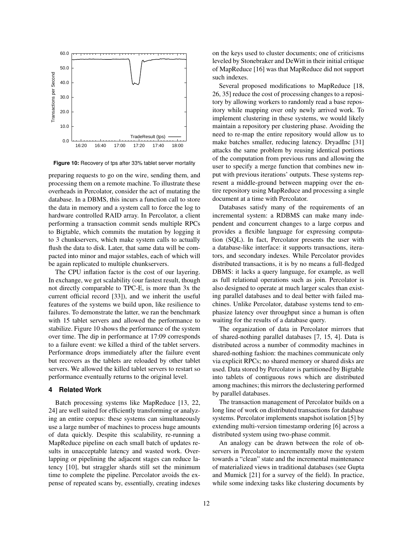

**Figure 10:** Recovery of tps after 33% tablet server mortality

preparing requests to go on the wire, sending them, and processing them on a remote machine. To illustrate these overheads in Percolator, consider the act of mutating the database. In a DBMS, this incurs a function call to store the data in memory and a system call to force the log to hardware controlled RAID array. In Percolator, a client performing a transaction commit sends multiple RPCs to Bigtable, which commits the mutation by logging it to 3 chunkservers, which make system calls to actually flush the data to disk. Later, that same data will be compacted into minor and major sstables, each of which will be again replicated to multiple chunkservers.

The CPU inflation factor is the cost of our layering. In exchange, we get scalability (our fastest result, though not directly comparable to TPC-E, is more than 3x the current official record [33]), and we inherit the useful features of the systems we build upon, like resilience to failures. To demonstrate the latter, we ran the benchmark with 15 tablet servers and allowed the performance to stabilize. Figure 10 shows the performance of the system over time. The dip in performance at 17:09 corresponds to a failure event: we killed a third of the tablet servers. Performance drops immediately after the failure event but recovers as the tablets are reloaded by other tablet servers. We allowed the killed tablet servers to restart so performance eventually returns to the original level.

#### **4 Related Work**

Batch processing systems like MapReduce [13, 22, 24] are well suited for efficiently transforming or analyzing an entire corpus: these systems can simultaneously use a large number of machines to process huge amounts of data quickly. Despite this scalability, re-running a MapReduce pipeline on each small batch of updates results in unacceptable latency and wasted work. Overlapping or pipelining the adjacent stages can reduce latency [10], but straggler shards still set the minimum time to complete the pipeline. Percolator avoids the expense of repeated scans by, essentially, creating indexes on the keys used to cluster documents; one of criticisms leveled by Stonebraker and DeWitt in their initial critique of MapReduce [16] was that MapReduce did not support such indexes.

Several proposed modifications to MapReduce [18, 26, 35] reduce the cost of processing changes to a repository by allowing workers to randomly read a base repository while mapping over only newly arrived work. To implement clustering in these systems, we would likely maintain a repository per clustering phase. Avoiding the need to re-map the entire repository would allow us to make batches smaller, reducing latency. DryadInc [31] attacks the same problem by reusing identical portions of the computation from previous runs and allowing the user to specify a merge function that combines new input with previous iterations' outputs. These systems represent a middle-ground between mapping over the entire repository using MapReduce and processing a single document at a time with Percolator.

Databases satisfy many of the requirements of an incremental system: a RDBMS can make many independent and concurrent changes to a large corpus and provides a flexible language for expressing computation (SQL). In fact, Percolator presents the user with a database-like interface: it supports transactions, iterators, and secondary indexes. While Percolator provides distributed transactions, it is by no means a full-fledged DBMS: it lacks a query language, for example, as well as full relational operations such as join. Percolator is also designed to operate at much larger scales than existing parallel databases and to deal better with failed machines. Unlike Percolator, database systems tend to emphasize latency over throughput since a human is often waiting for the results of a database query.

The organization of data in Percolator mirrors that of shared-nothing parallel databases [7, 15, 4]. Data is distributed across a number of commodity machines in shared-nothing fashion: the machines communicate only via explicit RPCs; no shared memory or shared disks are used. Data stored by Percolator is partitioned by Bigtable into tablets of contiguous rows which are distributed among machines; this mirrors the declustering performed by parallel databases.

The transaction management of Percolator builds on a long line of work on distributed transactions for database systems. Percolator implements snapshot isolation [5] by extending multi-version timestamp ordering [6] across a distributed system using two-phase commit.

An analogy can be drawn between the role of observers in Percolator to incrementally move the system towards a "clean" state and the incremental maintenance of materialized views in traditional databases (see Gupta and Mumick [21] for a survey of the field). In practice, while some indexing tasks like clustering documents by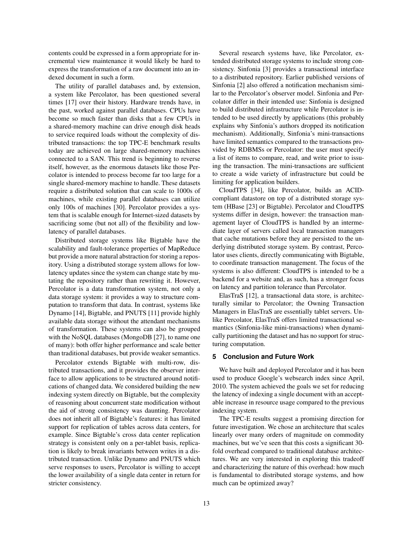contents could be expressed in a form appropriate for incremental view maintenance it would likely be hard to express the transformation of a raw document into an indexed document in such a form.

The utility of parallel databases and, by extension, a system like Percolator, has been questioned several times [17] over their history. Hardware trends have, in the past, worked against parallel databases. CPUs have become so much faster than disks that a few CPUs in a shared-memory machine can drive enough disk heads to service required loads without the complexity of distributed transactions: the top TPC-E benchmark results today are achieved on large shared-memory machines connected to a SAN. This trend is beginning to reverse itself, however, as the enormous datasets like those Percolator is intended to process become far too large for a single shared-memory machine to handle. These datasets require a distributed solution that can scale to 1000s of machines, while existing parallel databases can utilize only 100s of machines [30]. Percolator provides a system that is scalable enough for Internet-sized datasets by sacrificing some (but not all) of the flexibility and lowlatency of parallel databases.

Distributed storage systems like Bigtable have the scalability and fault-tolerance properties of MapReduce but provide a more natural abstraction for storing a repository. Using a distributed storage system allows for lowlatency updates since the system can change state by mutating the repository rather than rewriting it. However, Percolator is a data transformation system, not only a data storage system: it provides a way to structure computation to transform that data. In contrast, systems like Dynamo [14], Bigtable, and PNUTS [11] provide highly available data storage without the attendant mechanisms of transformation. These systems can also be grouped with the NoSQL databases (MongoDB [27], to name one of many): both offer higher performance and scale better than traditional databases, but provide weaker semantics.

Percolator extends Bigtable with multi-row, distributed transactions, and it provides the observer interface to allow applications to be structured around notifications of changed data. We considered building the new indexing system directly on Bigtable, but the complexity of reasoning about concurrent state modification without the aid of strong consistency was daunting. Percolator does not inherit all of Bigtable's features: it has limited support for replication of tables across data centers, for example. Since Bigtable's cross data center replication strategy is consistent only on a per-tablet basis, replication is likely to break invariants between writes in a distributed transaction. Unlike Dynamo and PNUTS which serve responses to users, Percolator is willing to accept the lower availability of a single data center in return for stricter consistency.

Several research systems have, like Percolator, extended distributed storage systems to include strong consistency. Sinfonia [3] provides a transactional interface to a distributed repository. Earlier published versions of Sinfonia [2] also offered a notification mechanism similar to the Percolator's observer model. Sinfonia and Percolator differ in their intended use: Sinfonia is designed to build distributed infrastructure while Percolator is intended to be used directly by applications (this probably explains why Sinfonia's authors dropped its notification mechanism). Additionally, Sinfonia's mini-transactions have limited semantics compared to the transactions provided by RDBMSs or Percolator: the user must specify a list of items to compare, read, and write prior to issuing the transaction. The mini-transactions are sufficient to create a wide variety of infrastructure but could be limiting for application builders.

CloudTPS [34], like Percolator, builds an ACIDcompliant datastore on top of a distributed storage system (HBase [23] or Bigtable). Percolator and CloudTPS systems differ in design, however: the transaction management layer of CloudTPS is handled by an intermediate layer of servers called local transaction managers that cache mutations before they are persisted to the underlying distributed storage system. By contrast, Percolator uses clients, directly communicating with Bigtable, to coordinate transaction management. The focus of the systems is also different: CloudTPS is intended to be a backend for a website and, as such, has a stronger focus on latency and partition tolerance than Percolator.

ElasTraS [12], a transactional data store, is architecturally similar to Percolator; the Owning Transaction Managers in ElasTraS are essentially tablet servers. Unlike Percolator, ElasTraS offers limited transactional semantics (Sinfonia-like mini-transactions) when dynamically partitioning the dataset and has no support for structuring computation.

# **5 Conclusion and Future Work**

We have built and deployed Percolator and it has been used to produce Google's websearch index since April, 2010. The system achieved the goals we set for reducing the latency of indexing a single document with an acceptable increase in resource usage compared to the previous indexing system.

The TPC-E results suggest a promising direction for future investigation. We chose an architecture that scales linearly over many orders of magnitude on commodity machines, but we've seen that this costs a significant 30 fold overhead compared to traditional database architectures. We are very interested in exploring this tradeoff and characterizing the nature of this overhead: how much is fundamental to distributed storage systems, and how much can be optimized away?